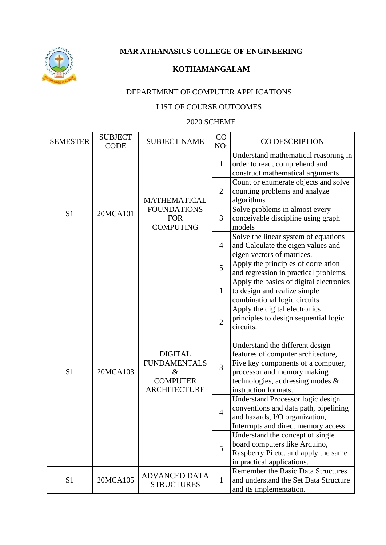

**MAR ATHANASIUS COLLEGE OF ENGINEERING**

## **KOTHAMANGALAM**

## DEPARTMENT OF COMPUTER APPLICATIONS

## LIST OF COURSE OUTCOMES

## 2020 SCHEME

| <b>SEMESTER</b> | <b>SUBJECT</b><br><b>CODE</b> | <b>SUBJECT NAME</b>                                                                     | CO<br>NO:      | CO DESCRIPTION                                                                                                                                                                                         |
|-----------------|-------------------------------|-----------------------------------------------------------------------------------------|----------------|--------------------------------------------------------------------------------------------------------------------------------------------------------------------------------------------------------|
| S <sub>1</sub>  | 20MCA101                      | <b>MATHEMATICAL</b><br><b>FOUNDATIONS</b><br><b>FOR</b><br><b>COMPUTING</b>             | $\mathbf{1}$   | Understand mathematical reasoning in<br>order to read, comprehend and<br>construct mathematical arguments                                                                                              |
|                 |                               |                                                                                         | $\overline{2}$ | Count or enumerate objects and solve<br>counting problems and analyze<br>algorithms                                                                                                                    |
|                 |                               |                                                                                         | 3              | Solve problems in almost every<br>conceivable discipline using graph<br>models                                                                                                                         |
|                 |                               |                                                                                         | $\overline{4}$ | Solve the linear system of equations<br>and Calculate the eigen values and<br>eigen vectors of matrices.                                                                                               |
|                 |                               |                                                                                         | 5              | Apply the principles of correlation<br>and regression in practical problems.                                                                                                                           |
| S <sub>1</sub>  | 20MCA103                      | <b>DIGITAL</b><br><b>FUNDAMENTALS</b><br>$\&$<br><b>COMPUTER</b><br><b>ARCHITECTURE</b> | $\mathbf{1}$   | Apply the basics of digital electronics<br>to design and realize simple<br>combinational logic circuits                                                                                                |
|                 |                               |                                                                                         | $\overline{2}$ | Apply the digital electronics<br>principles to design sequential logic<br>circuits.                                                                                                                    |
|                 |                               |                                                                                         | $\overline{3}$ | Understand the different design<br>features of computer architecture,<br>Five key components of a computer,<br>processor and memory making<br>technologies, addressing modes &<br>instruction formats. |
|                 |                               |                                                                                         | $\overline{4}$ | Understand Processor logic design<br>conventions and data path, pipelining<br>and hazards, I/O organization,<br>Interrupts and direct memory access                                                    |
|                 |                               |                                                                                         | 5              | Understand the concept of single<br>board computers like Arduino,<br>Raspberry Pi etc. and apply the same<br>in practical applications.                                                                |
| S1              | 20MCA105                      | <b>ADVANCED DATA</b><br><b>STRUCTURES</b>                                               | $\mathbf{1}$   | <b>Remember the Basic Data Structures</b><br>and understand the Set Data Structure<br>and its implementation.                                                                                          |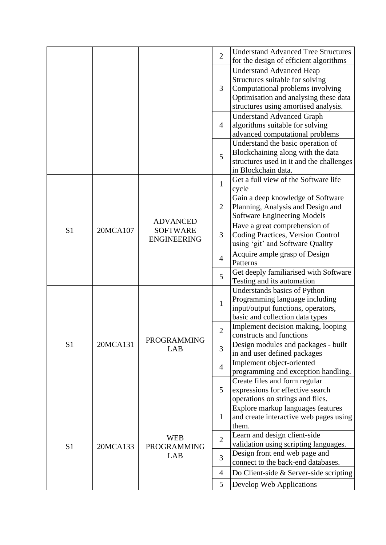|                |          |                                                          | $\overline{2}$ | <b>Understand Advanced Tree Structures</b><br>for the design of efficient algorithms                                                                                                    |
|----------------|----------|----------------------------------------------------------|----------------|-----------------------------------------------------------------------------------------------------------------------------------------------------------------------------------------|
|                |          |                                                          | 3              | <b>Understand Advanced Heap</b><br>Structures suitable for solving<br>Computational problems involving<br>Optimisation and analysing these data<br>structures using amortised analysis. |
|                |          |                                                          | 4              | <b>Understand Advanced Graph</b><br>algorithms suitable for solving<br>advanced computational problems                                                                                  |
|                |          |                                                          | 5              | Understand the basic operation of<br>Blockchaining along with the data<br>structures used in it and the challenges<br>in Blockchain data.                                               |
|                |          |                                                          | $\mathbf{1}$   | Get a full view of the Software life<br>cycle                                                                                                                                           |
|                |          | <b>ADVANCED</b><br><b>SOFTWARE</b><br><b>ENGINEERING</b> | $\overline{2}$ | Gain a deep knowledge of Software<br>Planning, Analysis and Design and<br><b>Software Engineering Models</b>                                                                            |
| S <sub>1</sub> | 20MCA107 |                                                          | 3              | Have a great comprehension of<br>Coding Practices, Version Control<br>using 'git' and Software Quality                                                                                  |
|                |          |                                                          | $\overline{4}$ | Acquire ample grasp of Design<br>Patterns                                                                                                                                               |
|                |          |                                                          | 5              | Get deeply familiarised with Software<br>Testing and its automation                                                                                                                     |
|                |          |                                                          | $\mathbf{1}$   | Understands basics of Python<br>Programming language including<br>input/output functions, operators,<br>basic and collection data types                                                 |
|                | 20MCA131 | <b>PROGRAMMING</b><br>LAB                                | $\overline{2}$ | Implement decision making, looping<br>constructs and functions                                                                                                                          |
| S <sub>1</sub> |          |                                                          | 3              | Design modules and packages - built<br>in and user defined packages                                                                                                                     |
|                |          |                                                          | $\overline{4}$ | Implement object-oriented<br>programming and exception handling.                                                                                                                        |
|                |          |                                                          | 5              | Create files and form regular<br>expressions for effective search<br>operations on strings and files.                                                                                   |
|                |          |                                                          | $\mathbf{1}$   | Explore markup languages features<br>and create interactive web pages using<br>them.                                                                                                    |
| S <sub>1</sub> | 20MCA133 | <b>WEB</b><br><b>PROGRAMMING</b><br>LAB                  | $\overline{2}$ | Learn and design client-side<br>validation using scripting languages.                                                                                                                   |
|                |          |                                                          | 3              | Design front end web page and<br>connect to the back-end databases.                                                                                                                     |
|                |          |                                                          | $\overline{4}$ | Do Client-side $&$ Server-side scripting                                                                                                                                                |
|                |          |                                                          | 5              | Develop Web Applications                                                                                                                                                                |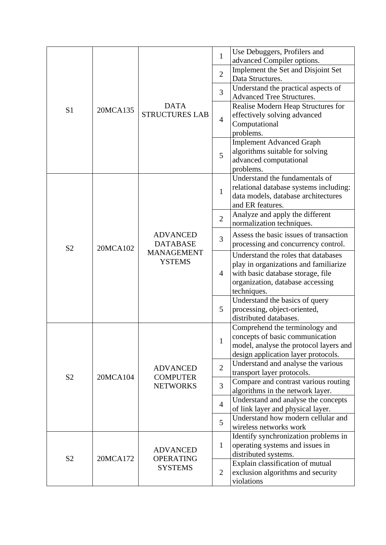|                |                      |                                                                          | $\mathbf{1}$                   | Use Debuggers, Profilers and                                       |
|----------------|----------------------|--------------------------------------------------------------------------|--------------------------------|--------------------------------------------------------------------|
| S <sub>1</sub> |                      |                                                                          |                                | advanced Compiler options.<br>Implement the Set and Disjoint Set   |
|                | 20MCA135             |                                                                          | $\overline{2}$                 | Data Structures.                                                   |
|                |                      |                                                                          |                                | Understand the practical aspects of                                |
|                |                      |                                                                          | 3                              | <b>Advanced Tree Structures.</b>                                   |
|                |                      | <b>DATA</b>                                                              |                                | Realise Modern Heap Structures for                                 |
|                |                      | <b>STRUCTURES LAB</b>                                                    | $\overline{4}$                 | effectively solving advanced                                       |
|                |                      |                                                                          |                                | Computational                                                      |
|                |                      |                                                                          |                                | problems.                                                          |
|                |                      |                                                                          | 5                              | <b>Implement Advanced Graph</b>                                    |
|                |                      |                                                                          |                                | algorithms suitable for solving<br>advanced computational          |
|                |                      |                                                                          |                                | problems.                                                          |
|                |                      |                                                                          |                                | Understand the fundamentals of                                     |
|                |                      |                                                                          |                                | relational database systems including:                             |
|                |                      |                                                                          | $\mathbf{1}$                   | data models, database architectures                                |
|                |                      |                                                                          |                                | and ER features.                                                   |
|                | 20MCA102             |                                                                          | $\overline{2}$<br>3            | Analyze and apply the different                                    |
|                |                      |                                                                          |                                | normalization techniques.                                          |
|                |                      | <b>ADVANCED</b><br><b>DATABASE</b><br><b>MANAGEMENT</b><br><b>YSTEMS</b> |                                | Assess the basic issues of transaction                             |
| S <sub>2</sub> |                      |                                                                          |                                | processing and concurrency control.                                |
|                |                      |                                                                          | 4                              | Understand the roles that databases                                |
|                |                      |                                                                          |                                | play in organizations and familiarize                              |
|                |                      |                                                                          |                                | with basic database storage, file                                  |
|                |                      |                                                                          |                                | organization, database accessing<br>techniques.                    |
|                |                      |                                                                          | 5                              | Understand the basics of query                                     |
|                |                      |                                                                          |                                | processing, object-oriented,                                       |
|                |                      |                                                                          |                                | distributed databases.                                             |
|                |                      |                                                                          |                                | Comprehend the terminology and                                     |
|                | 20MCA104<br>20MCA172 | <b>ADVANCED</b><br><b>COMPUTER</b>                                       | $\mathbf{1}$<br>$\overline{2}$ | concepts of basic communication                                    |
|                |                      |                                                                          |                                | model, analyse the protocol layers and                             |
|                |                      |                                                                          |                                | design application layer protocols.                                |
|                |                      |                                                                          |                                | Understand and analyse the various                                 |
| S <sub>2</sub> |                      |                                                                          |                                | transport layer protocols.<br>Compare and contrast various routing |
|                |                      | <b>NETWORKS</b>                                                          | 3                              | algorithms in the network layer.                                   |
|                |                      | <b>ADVANCED</b><br><b>OPERATING</b><br><b>SYSTEMS</b>                    |                                | Understand and analyse the concepts                                |
|                |                      |                                                                          | $\overline{4}$                 | of link layer and physical layer.                                  |
|                |                      |                                                                          | 5                              | Understand how modern cellular and                                 |
|                |                      |                                                                          |                                | wireless networks work                                             |
|                |                      |                                                                          |                                | Identify synchronization problems in                               |
|                |                      |                                                                          | $\mathbf{1}$                   | operating systems and issues in                                    |
| S <sub>2</sub> |                      |                                                                          |                                | distributed systems.                                               |
|                |                      |                                                                          | $\overline{2}$                 | Explain classification of mutual                                   |
|                |                      |                                                                          |                                | exclusion algorithms and security<br>violations                    |
|                |                      |                                                                          |                                |                                                                    |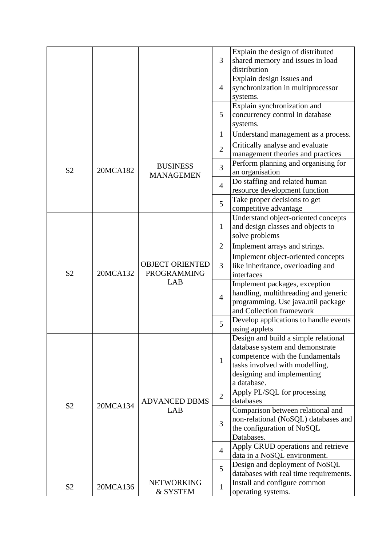|                |          |                                                     |                | Explain the design of distributed                                   |
|----------------|----------|-----------------------------------------------------|----------------|---------------------------------------------------------------------|
|                |          |                                                     | 3              | shared memory and issues in load                                    |
|                |          |                                                     |                | distribution                                                        |
|                |          |                                                     |                | Explain design issues and                                           |
|                |          |                                                     | $\overline{4}$ | synchronization in multiprocessor                                   |
|                |          |                                                     |                | systems.                                                            |
|                |          |                                                     |                | Explain synchronization and                                         |
|                |          |                                                     | 5              | concurrency control in database                                     |
|                |          |                                                     |                | systems.                                                            |
|                |          |                                                     | $\mathbf{1}$   | Understand management as a process.                                 |
|                |          |                                                     | $\overline{2}$ | Critically analyse and evaluate                                     |
|                |          |                                                     |                | management theories and practices                                   |
|                |          | <b>BUSINESS</b>                                     | 3              | Perform planning and organising for                                 |
| S <sub>2</sub> | 20MCA182 | <b>MANAGEMEN</b>                                    |                | an organisation                                                     |
|                |          |                                                     | $\overline{4}$ | Do staffing and related human                                       |
|                |          |                                                     |                | resource development function                                       |
|                |          |                                                     | 5              | Take proper decisions to get                                        |
|                |          |                                                     |                | competitive advantage                                               |
|                |          |                                                     |                | Understand object-oriented concepts                                 |
|                |          | <b>OBJECT ORIENTED</b><br><b>PROGRAMMING</b><br>LAB | $\mathbf{1}$   | and design classes and objects to                                   |
|                | 20MCA132 |                                                     |                | solve problems                                                      |
|                |          |                                                     | $\overline{2}$ | Implement arrays and strings.                                       |
|                |          |                                                     | 3              | Implement object-oriented concepts                                  |
|                |          |                                                     |                | like inheritance, overloading and                                   |
| S <sub>2</sub> |          |                                                     |                | interfaces                                                          |
|                |          |                                                     |                | Implement packages, exception                                       |
|                |          |                                                     | $\overline{4}$ | handling, multithreading and generic                                |
|                |          |                                                     |                | programming. Use java.util package                                  |
|                |          |                                                     |                | and Collection framework                                            |
|                |          |                                                     | 5              | Develop applications to handle events                               |
|                |          |                                                     |                | using applets                                                       |
|                |          |                                                     |                | Design and build a simple relational                                |
|                |          |                                                     |                | database system and demonstrate<br>competence with the fundamentals |
|                |          |                                                     | $\mathbf{1}$   | tasks involved with modelling,                                      |
|                |          |                                                     |                | designing and implementing                                          |
|                |          |                                                     |                | a database.                                                         |
|                |          |                                                     |                | Apply PL/SQL for processing                                         |
|                |          | <b>ADVANCED DBMS</b>                                | $\overline{2}$ | databases                                                           |
| S <sub>2</sub> | 20MCA134 | LAB                                                 |                | Comparison between relational and                                   |
|                |          |                                                     |                | non-relational (NoSQL) databases and                                |
|                |          |                                                     | 3              | the configuration of NoSQL                                          |
|                |          |                                                     |                | Databases.                                                          |
|                |          |                                                     |                | Apply CRUD operations and retrieve                                  |
|                |          |                                                     | $\overline{4}$ | data in a NoSQL environment.                                        |
|                |          |                                                     | 5              | Design and deployment of NoSQL                                      |
|                |          |                                                     |                | databases with real time requirements.                              |
|                |          | <b>NETWORKING</b>                                   |                | Install and configure common                                        |
| S <sub>2</sub> | 20MCA136 | & SYSTEM                                            | $\mathbf{1}$   | operating systems.                                                  |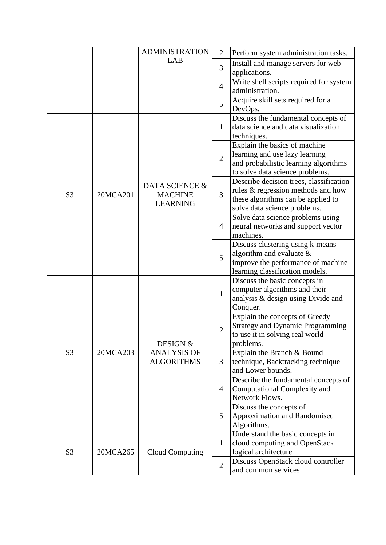|                |          | <b>ADMINISTRATION</b>                               | $\overline{2}$ | Perform system administration tasks.                                                                                                                |
|----------------|----------|-----------------------------------------------------|----------------|-----------------------------------------------------------------------------------------------------------------------------------------------------|
|                |          | LAB                                                 | 3              | Install and manage servers for web<br>applications.                                                                                                 |
|                |          |                                                     | $\overline{4}$ | Write shell scripts required for system<br>administration.                                                                                          |
|                |          |                                                     | 5              | Acquire skill sets required for a<br>DevOps.                                                                                                        |
|                |          |                                                     | 1              | Discuss the fundamental concepts of<br>data science and data visualization<br>techniques.                                                           |
|                |          | DATA SCIENCE &<br><b>MACHINE</b><br><b>LEARNING</b> | $\overline{2}$ | Explain the basics of machine<br>learning and use lazy learning<br>and probabilistic learning algorithms<br>to solve data science problems.         |
| S <sub>3</sub> | 20MCA201 |                                                     | 3              | Describe decision trees, classification<br>rules & regression methods and how<br>these algorithms can be applied to<br>solve data science problems. |
|                |          |                                                     | $\overline{4}$ | Solve data science problems using<br>neural networks and support vector<br>machines.                                                                |
|                |          |                                                     | 5              | Discuss clustering using k-means<br>algorithm and evaluate $\&$<br>improve the performance of machine<br>learning classification models.            |
|                |          |                                                     | $\mathbf{1}$   | Discuss the basic concepts in<br>computer algorithms and their<br>analysis & design using Divide and<br>Conquer.                                    |
| S <sub>3</sub> | 20MCA203 | DESIGN &<br><b>ANALYSIS OF</b><br><b>ALGORITHMS</b> | $\overline{2}$ | Explain the concepts of Greedy<br><b>Strategy and Dynamic Programming</b><br>to use it in solving real world<br>problems.                           |
|                |          |                                                     | 3              | Explain the Branch & Bound<br>technique, Backtracking technique<br>and Lower bounds.                                                                |
|                |          |                                                     | $\overline{4}$ | Describe the fundamental concepts of<br>Computational Complexity and<br>Network Flows.                                                              |
|                |          |                                                     | 5              | Discuss the concepts of<br>Approximation and Randomised<br>Algorithms.                                                                              |
| S <sub>3</sub> | 20MCA265 | Cloud Computing                                     | 1              | Understand the basic concepts in<br>cloud computing and OpenStack<br>logical architecture                                                           |
|                |          |                                                     | $\overline{2}$ | Discuss OpenStack cloud controller<br>and common services                                                                                           |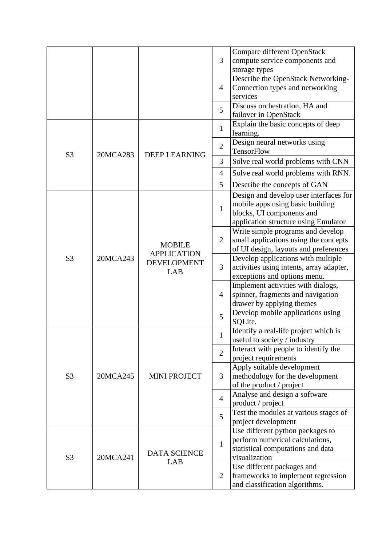|                |          |                                                                  | 3              | Compare different OpenStack<br>compute service components and<br>storage types                                                                  |
|----------------|----------|------------------------------------------------------------------|----------------|-------------------------------------------------------------------------------------------------------------------------------------------------|
|                |          |                                                                  | $\overline{4}$ | Describe the OpenStack Networking-<br>Connection types and networking<br>services                                                               |
|                |          |                                                                  | 5              | Discuss orchestration, HA and<br>failover in OpenStack                                                                                          |
|                |          | <b>DEEP LEARNING</b>                                             | $\mathbf{1}$   | Explain the basic concepts of deep<br>learning.                                                                                                 |
| S <sub>3</sub> | 20MCA283 |                                                                  | $\overline{2}$ | Design neural networks using<br>TensorFlow                                                                                                      |
|                |          |                                                                  | 3              | Solve real world problems with CNN                                                                                                              |
|                |          |                                                                  | $\overline{4}$ | Solve real world problems with RNN.                                                                                                             |
|                |          |                                                                  | 5              | Describe the concepts of GAN                                                                                                                    |
|                |          |                                                                  | $\mathbf{1}$   | Design and develop user interfaces for<br>mobile apps using basic building<br>blocks, UI components and<br>application structure using Emulator |
| S <sub>3</sub> | 20MCA243 | <b>MOBILE</b><br><b>APPLICATION</b><br><b>DEVELOPMENT</b><br>LAB | $\overline{2}$ | Write simple programs and develop<br>small applications using the concepts<br>of UI design, layouts and preferences                             |
|                |          |                                                                  | 3              | Develop applications with multiple<br>activities using intents, array adapter,<br>exceptions and options menu.                                  |
|                |          |                                                                  | $\overline{4}$ | Implement activities with dialogs,<br>spinner, fragments and navigation<br>drawer by applying themes                                            |
|                |          |                                                                  | 5              | Develop mobile applications using<br>SQLite.                                                                                                    |
|                | 20MCA245 | <b>MINI PROJECT</b>                                              | $\mathbf{1}$   | Identify a real-life project which is<br>useful to society / industry                                                                           |
|                |          |                                                                  | $\overline{2}$ | Interact with people to identify the<br>project requirements                                                                                    |
| S <sub>3</sub> |          |                                                                  | 3              | Apply suitable development<br>methodology for the development<br>of the product / project                                                       |
|                |          |                                                                  | $\overline{4}$ | Analyse and design a software<br>product / project                                                                                              |
|                |          |                                                                  | 5              | Test the modules at various stages of<br>project development                                                                                    |
| S <sub>3</sub> | 20MCA241 | <b>DATA SCIENCE</b><br>LAB                                       | $\mathbf{1}$   | Use different python packages to<br>perform numerical calculations,<br>statistical computations and data<br>visualization                       |
|                |          |                                                                  | $\overline{2}$ | Use different packages and<br>frameworks to implement regression<br>and classification algorithms.                                              |